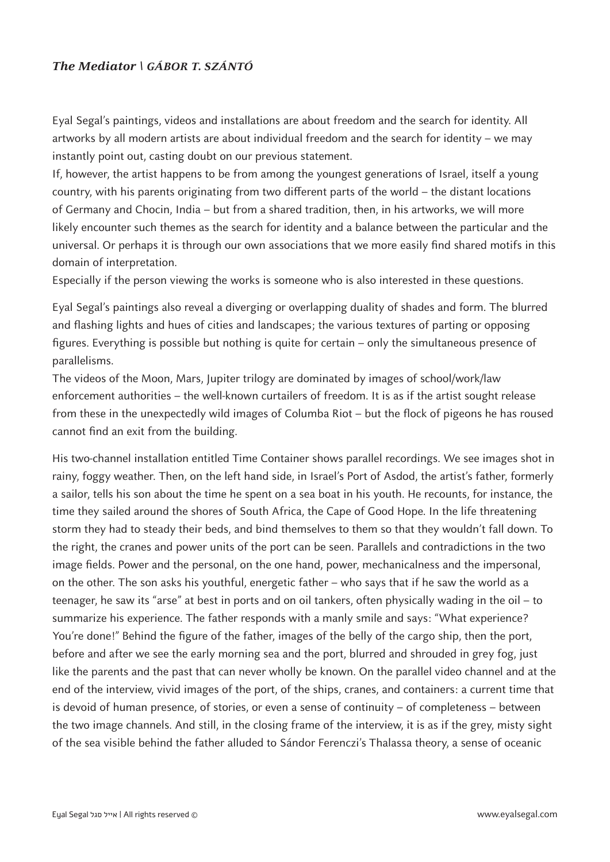## **The Mediator \ GÁBOR T. SZÁNTÓ**

Eyal Segal's paintings, videos and installations are about freedom and the search for identity. All artworks by all modern artists are about individual freedom and the search for identity – we may instantly point out, casting doubt on our previous statement.

If, however, the artist happens to be from among the youngest generations of Israel, itself a young country, with his parents originating from two different parts of the world – the distant locations of Germany and Chocin, India – but from a shared tradition, then, in his artworks, we will more likely encounter such themes as the search for identity and a balance between the particular and the universal. Or perhaps it is through our own associations that we more easily find shared motifs in this domain of interpretation.

Especially if the person viewing the works is someone who is also interested in these questions.

Eyal Segal's paintings also reveal a diverging or overlapping duality of shades and form. The blurred and flashing lights and hues of cities and landscapes; the various textures of parting or opposing figures. Everything is possible but nothing is quite for certain – only the simultaneous presence of parallelisms.

The videos of the Moon, Mars, Jupiter trilogy are dominated by images of school/work/law enforcement authorities – the well-known curtailers of freedom. It is as if the artist sought release from these in the unexpectedly wild images of Columba Riot – but the flock of pigeons he has roused cannot find an exit from the building.

His two-channel installation entitled Time Container shows parallel recordings. We see images shot in rainy, foggy weather. Then, on the left hand side, in Israel's Port of Asdod, the artist's father, formerly a sailor, tells his son about the time he spent on a sea boat in his youth. He recounts, for instance, the time they sailed around the shores of South Africa, the Cape of Good Hope. In the life threatening storm they had to steady their beds, and bind themselves to them so that they wouldn't fall down. To the right, the cranes and power units of the port can be seen. Parallels and contradictions in the two image fields. Power and the personal, on the one hand, power, mechanicalness and the impersonal, on the other. The son asks his youthful, energetic father – who says that if he saw the world as a teenager, he saw its "arse" at best in ports and on oil tankers, often physically wading in the oil – to summarize his experience. The father responds with a manly smile and says: "What experience? You're done!" Behind the figure of the father, images of the belly of the cargo ship, then the port, before and after we see the early morning sea and the port, blurred and shrouded in grey fog, just like the parents and the past that can never wholly be known. On the parallel video channel and at the end of the interview, vivid images of the port, of the ships, cranes, and containers: a current time that is devoid of human presence, of stories, or even a sense of continuity – of completeness – between the two image channels. And still, in the closing frame of the interview, it is as if the grey, misty sight of the sea visible behind the father alluded to Sándor Ferenczi's Thalassa theory, a sense of oceanic